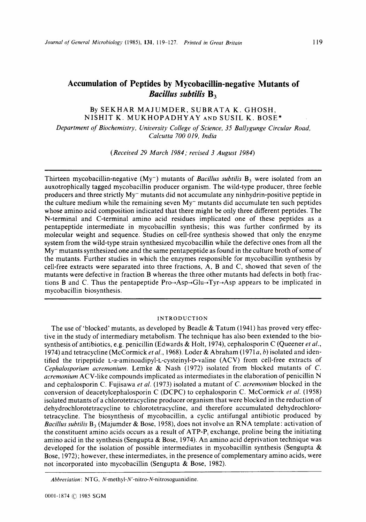## **Accumulation of Peptides by Mycobacillin-negative Mutants of Bacillus subtilis B**<sub>3</sub>

## By SEKHAR MAJUMDER, SUBRATA K. GHOSH, NISHIT K. MUKHOPADHYAY AND SUSIL K. BOSE\*

*Department of Biochemistry, University College of Science, 35 Ballygunge Circular Road, Calcutta 700 019, India* 

*(Received 29 March 1984; revised 3 August 1984)* 

Thirteen mycobacillin-negative  $(My^-)$  mutants of *Bacillus subtilis*  $B_3$  were isolated from an auxotrophically tagged mycobacillin producer organism. The wild-type producer, three feeble producers and three strictly My- mutants did not accumulate any ninhydrin-positive peptide in the culture medium while the remaining seven My- mutants did accumulate ten such peptides whose amino acid composition indicated that there might be only three different peptides. The N-terminal and C-terminal amino acid residues implicated one of these peptides as a pentapeptide intermediate in mycobacillin synthesis; this was further confirmed by its molecular weight and sequence. Studies on cell-free synthesis showed that only the enzyme system from the wild-type strain synthesized mycobacillin while the defective ones from all the  $Mv<sub>-</sub>$  mutants synthesized one and the same pentapeptide as found in the culture broth of some of the mutants. Further studies in which the enzymes responsible for mycobacillin synthesis by cell-free extracts were separated into three fractions, A, B and C, showed that seven of the mutants were defective in fraction B whereas the three other mutants had defects in both fractions **B** and C. Thus the pentapeptide  $Pro\rightarrow Asp\rightarrow Glu\rightarrow Tyr\rightarrow Asp$  appears to be implicated in mycobacillin biosynthesis.

#### INTRODUCTION

The use of 'blocked' mutants, as developed by Beadle  $\&$  Tatum (1941) has proved very effective in the study of intermediary metabolism. The technique has also been extended to the biosynthesis of antibiotics, e.g. penicillin (Edwards & Holt, 1974), cephalosporin C (Queener *et al.,*  1974) and tetracycline (McCormick *et al.,* 1968). Loder & Abraham (1971 *a, b)* isolated and identified the tripeptide **L-a-aminoadipyl-L-cysteinyl-D-valine** (ACV) from cell-free extracts of *Cephalosporium acrernoniurn.* Lemke & Nash (1972) isolated from blocked mutants of *C. acrernonium* ACV-like compounds implicated as intermediates in the elaboration of penicillin N and cephalosporin C. Fujisawa *et al.* (1973) isolated a mutant of *C. acremoniurn* blocked in the conversion of deacetylcephalosporin C (DCPC) to cephalosporin C. McCormick *et al.* (1958) isolated mutants of a chlorotetracycline producer organism that were blocked in the reduction of dehydrochlorotetracycline to chlorotetracycline, and therefore accumulated dehydrochlorotetracycline. The biosynthesis of mycobacillin, a cyclic antifungal antibiotic produced by *Bacillus subtilis* B3 (Majumder & Bose, 1958), does not involve an RNA template: activation of the constituent amino acids occurs as a result of  $ATP-P_i$  exchange, proline being the initiating amino acid in the synthesis (Sengupta & Bose, 1974). An amino acid deprivation technique was developed for the isolation of possible intermediates in mycobacillin synthesis (Sengupta  $\&$ Bose, 1972); however, these intermediates, in the presence of complementary amino acids, were not incorporated into mycobacillin (Sengupta & Bose, 1982).

*Abbreviation:* NTG, **N-methyl-N'-nitro-N-nitrosoguanidine.**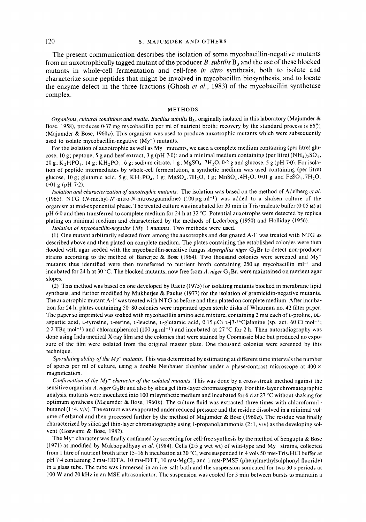#### 120 **S. MAJUMDER AND OTHERS**

The present communication describes the isolation of some mycobacillin-negative: mutants from an auxotrophically tagged mutant of the producer  $\vec{B}$ , *subtilis*  $\vec{B}_3$  and the use of these blocked mutants in whole-cell fermentation and cell-free *in vitro* synthesis, both to isolate and characterize some peptides that might be involved in mycobacillin biosynthesis, and to locate the enzyme defect in the three fractions (Ghosh *et al.,* 1983) of the mycobacillin synthetase complex.

#### **METHODS**

*Organisms, cultural conditions and media. Bacillus subtilis* B<sub>3</sub>, originally isolated in this laboratory (Majumder & Bose, 1958), produces 0.37 mg mycobacillin per ml of nutrient broth; recovery by the standard process is  $65\%$ (Majumder & Bose, 1960 $a$ ). This organism was used to produce auxotrophic mutants which were subsequently used to isolate mycobacillin-negative (My<sup>-</sup>) mutants.

For the isolation of auxotrophic as well as  $Mv^-$  mutants, we used a complete medium containing (per litre) glucose, 10 g; peptone, 5 g and beef extract, 3 g (pH 7.0); and a minimal medium containing (per litre)  $(NH_4)_2SO_4$ , 20 g, K,HPO<sub>4</sub>, 14 g; KH,PO<sub>4</sub>, 6 g, sodium citrate, 1 g; MgSO<sub>4</sub>. 7H<sub>2</sub>O, 0.2 g and glucose, 5 g (pH 7.0). For isolation of peptide intermediates by whole-cell fermentation, a synthetic medium was used containing (per litre) glucose, 10 g; glutamic acid, 5 g; KH<sub>2</sub>PO<sub>4</sub>, 1 g; MgSO<sub>4</sub>.7H<sub>2</sub>O, 1 g; MnSO<sub>4</sub>.4H<sub>2</sub>O, 0.01 g and FeSO<sub>4</sub>.7H<sub>2</sub>O, 0.01 g (pH 7.2).

*Isolation and characterization of auxotrophic mutants.* The isolation was based on the method of Adelberg *et al.*  (1965). NTG **(N-methyl-N'-nitro-N-nitrosoguanidine)** (100 pg ml-I) was added to a shaken culture of the organism at mid-exponential phase. The treated culture was incubated for 30 min in Tris/maleate buffer (0.05 M) at pH 6.0 and then transferred to complete medium for 24 h at 32 "C. Potential auxotrophs were detected by replica plating on minimal medium and characterized by the methods of Lederberg (1950) and Holliday (1956).

*Isolation of mycobacillin-negative (My-) mutants.* Two methods were used.

(1) One mutant arbitrarily selected from among the auxotrophs and designated A-1' was treated with NTG as described above and then plated on complete medium. The plates containing the established colonies were then flooded with agar seeded with the mycobacillin-sensitive fungus *Aspergillus niger* G, Br to detect non-producer strains according to the method of Banerjee & Bose (1964). Two thousand colonies were screened and Mymutants thus identified were then transferred to nutrient broth containing  $250 \mu g$  mycobacillin ml<sup>-1</sup> and incubated for 24 h at 30 °C. The blocked mutants, now free from *A. niger* G<sub>3</sub>Br, were maintained on nutrient agar slopes.

(2) This method was based on one developed by Raetz (1975) for isolating mutants blocked in membrane lipid synthesis, and further modified by Mukherjee & Paulus (1977) for the isolation of gramicidin-negative mutants. The auxotrophic mutant A-1' was treated with NTG as before and then plated on complete medium. After incubation for 24 h, plates containing 50-80 colonies were imprinted upon sterile disks of Whatman no. 42 filter paper. The paper so imprinted was soaked with mycobacillin amino acid mixture, containing 2 mM each of L-proline, **DL**aspartic acid, L-tyrosine, L-serine, L-leucine, L-glutamic acid,  $0.15 \mu Ci L[3-14C]$ alanine (sp. act. 60 Ci mol<sup>-1</sup>; 2.2 TBq mol<sup>-1</sup>) and chloramphenicol (100  $\mu$ g ml<sup>-1</sup>) and incubated at 27 °C for 2 h. Then autoradiography was done using Indu-medical X-ray film and the colonies that were stained by Coomassie blue but produced no exposure of the film were isolated from the original master plate. One thousand colonies were screened by this technique.

*Sporufating ability of the My- mutants.* This was determined by estimating at different time intervals **i** he number of spores per ml of culture, using a double Neubauer chamber under a phase-contrast microscope at 400 x magnification.

*Confirmation of the My- character of the isolated mutants.* This was done by a cross-streak method against the sensitive organism *A. niger* G<sub>3</sub>Br and also by silica gel thin-layer chromatography. For thin-layer chromatographic analysis, mutants were inoculated into 100 ml synthetic medium and incubated for 6 d at 27 "C without shaking for optimum synthesis (Majumder & Bose, 1960b). The culture fluid was extracted three times with chloroform/1butanol  $(1:4, v/v)$ . The extract was evaporated under reduced pressure and the residue dissolved in a minimal volume of ethanol and then processed further by the method of Majumder & Bose (1960 $a$ ). The residue was finally characterized by silica gel thin-layer chromatography using 1-propanol/ammonia (2:1, v/v) as the developing solvent (Goswami & Bose, 1982).

The My<sup>-</sup> character was finally confirmed by screening for cell-free synthesis by the method of Sengupta & Bose (1971) as modified by Mukhopadhyay *et al.* (1984). Cells (2.5 g wet wt) of wild-type and My- strains, collected from 1 litre of nutrient broth after 15-16 h incubation at 30 °C, were suspended in 4 vols 50 mM-Tris/HCl buffer at pH 7.4 containing 2 mM-EDTA, 10 mM-DTT, 10 mM-MgCl<sub>2</sub> and 1 mM-PMSF (phenylmethylsulphonyl fluoride) in a glass tube. The tube was immersed in an ice-salt bath and the suspension sonicated for two 30 **s** periods at 100 **W** and 20 kHz in an MSE ultrasonicator. The suspension was cooled for *3* min between bursts to maintain a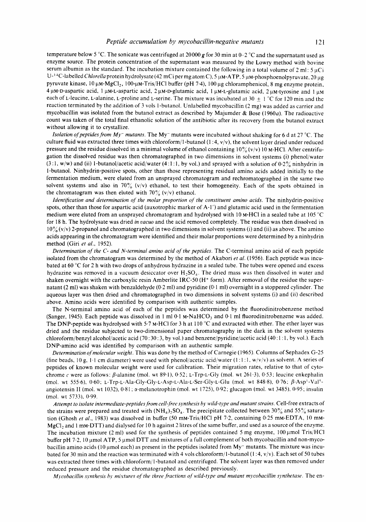temperature below *5* "C. The sonicate was centrifuged at 20000 **g** for 30 min at 0-2 "C and the supernatant used as enzyme source. The protein concentration of the supernatant was measured by the Lowry method with bovine serum albumin as the standard. The incubation mixture contained the following in a total volume of 2 ml: *5* pCi U<sup>-14</sup>C-labelled Chlorella protein hydrolysate (42 mCi per mg atom C), 5 µM-ATP, 5 µM-phosphoenolpyruvate, 20 µg pyruvate kinase, 10  $\mu$ M-MgCl<sub>2</sub>, 100- $\mu$ M-Tris/HCl buffer (pH 7.4), 100  $\mu$ g chloramphenicol, 8 mg enzyme protein, 4 µM-D-aspartic acid, 1 µM-L-aspartic acid, 2 µM-D-glutamic acid, 1 µM-L-glutamic acid, 2 µM-tyrosine and 1 µM each of L-leucine, L-alanine, L-proline and L-serine. The mixture was incubated at  $30 + 1$  °C for 120 min and the reaction terminated by the addition of *3* vols 1-butanol. Unlabelled mycobacillin (2 mg) was added as carrier and mycobacillin was isolated from the butanol extract as described by Majumder & Bose (1960 $a$ ). The radioactive count was taken of the total final ethanolic solution of the antibiotic after its recovery from the butanol extract without allowing it to crystallize.

*Isolation of peptides from My<sup>-</sup> mutants.* The My<sup>-</sup> mutants were incubated without shaking for 6 d at 27 °C. The culture fluid was extracted three times with chloroform/l-butanol (1 :4, v/v>, the solvent layer dried under reduced pressure and the residue dissolved in a minimal volume of ethanol containing  $10\%$  (v/v) 10 M-HCl. After centrifugation the dissolved residue was then chromatographed in two dimensions in solvent systems (i) phenol/water *(3* : 1, w/w) and (ii) 1-butanol/acetic acid/water **(4** : 1 : 1, by vol.) and sprayed with a solution of 0.2% ninhydrin in 1-butanol. Ninhydrin-positive spots, other than those representing residual amino acids added initially to the fermentation medium, were eluted from an unsprayed chromatogram and rechromatographed in the same two solvent systems and also in  $70\%$  (v/v) ethanol, to test their homogeneity. Each of the spots obtained in the chromatogram was then eluted with  $70\%$  (v/v) ethanol.

Identification and determination of the molar proportion of the constituent amino acids. The ninhydrin-positive spots, other than those for aspartic acid (auxotrophic marker of **A-1')** and glutamic acid used in the fermentation medium were eluted from an unsprayed chromatogram and hydrolysed with 10 M-HCl in a sealed tube at 105 "C for 18 h. The hydrolysate was dried *in uacuo* and the acid removed completely. The residue was then dissolved in  $10\frac{\nu}{6}$  (v/v) 2-propanol and chromatographed in two dimensions in solvent systems (i) and (ii) as above. The amino acids appearing in the chromatogram were identified and their molar proportions were determined by a ninhydrin method (Giri *et al.,* 1952).

*Determination of the C- and N-terminal amino acid of the peptides.* The C-terminal amino acid of each peptide isolated from the chromatogram was determined by the method of Akabori *et af.* (1956). Each peptide was incubated at 60 "C for 2 h with two drops of anhydrous hydrazine in a sealed tube. The tubes were opened and excess hydrazine was removed in a vacuum desiccator over H<sub>2SO<sub>1</sub></sub>. The dried mass was then dissolved in water and shaken overnight with the carboxylic resin Amberlite IRC-50  $(H<sup>+</sup>$  form). After removal of the residue the supernatant (2 ml) was shaken with benzaldehyde (0.2 ml) and pyridine (0.1 ml) overnight in a stoppered cylinder. The aqueous layer was then dried and chromatographed in two dimensions in solvent systems (i) and (ii) described above. Amino acids were identified by comparison with authentic samples.

The N-terminal amino acid of each of the peptides was determined by the fluorodinitrobenzene method (Sanger, 1945). Each peptide was dissolved in  $1 \text{ ml } 0.1 \text{ M-NaHCO}_3$  and  $0.1 \text{ ml }$  fluorodinitrobenzene was added. The DNP-peptide was hydrolysed with 5-7 M-HCI for *3* h at 110 "C and extracted with ether. The ether layer was dried and the residue subjected to two-dimensional paper chromatography in the dark in the solvent systems chloroform/benzyl alcohol/acetic acid (70:30:3, by vol.) and benzene/pyridine/acetic acid (40:1:1, by vol.). Each DNP-amino acid was identified by comparison with an authentic sample.

*Determination ofmolecular weight.* This was done by the method of Carnegie (1965). Columns of Sephadex G-25 (fine beads, 10 g,  $\lceil \cdot \rceil$  cm diameter) were used with phenol/acetic acid/water (1:1:1, w/v/v) as solvent. A series of peptides of known molecular weight were used for calibration. Their migration rates, relative to that of cytochrome c were as follows:  $\beta$ -alanine (mol. wt 89.1), 0.52; L-Trp-L-Gly (mol. wt 261.3), 0.53; leucine enkephalin (rnol. wt 555.6), 0-60; **L-Trp-L-Ah-Gly-Gly-L-Asp-L-Ala-L-Ser-Gly-L-Glu** (mol. wt 848.8), 0.76; /I-Asp'-Va15 angiotensin **I1** (mol. wt 1032), 0.81 ; a-melanotrophin (mol. wt 1725), 0.92; glucagon (rnol. wt 3485). 0.95; insulin (mol. wt 5733), 0.99.

*Attempt to isolate intermediate-peptides,from ce1l:free sjwthesis by wild-tjpe and mutant strains.* Cell-free extracts **of**  the strains were prepared and treated with (NH<sub>4</sub>)<sub>2</sub>SO<sub>4</sub>. The precipitate collected between 30% and 55% saturation (Ghosh et al., 1983) was dissolved in buffer (50 mm-Tris/HCl pH 7.2, containing 0.25 mm-EDTA, 10 mm-MgCl, and 1 mM-DTT) and dialysed for 10 h against 2 litres of the same buffer, and used as a source of the enzyme. The incubation mixture (2 ml) used for the synthesis of peptides contained 5 mg enzyme,  $100 \mu$ mol Tris/HCl buffer pH 7.2, 10 µmol ATP, 5 µmol DTT and mixtures of a full complement of both mycobacillin and non-mycobacillin amino acids (10  $\mu$ mol each) as present in the peptides isolated from My<sup>-</sup> mutants. The mixture was incubated for 30 min and the reaction was terminated with 4 vols chloroform/l-butanol (1 :4, v/v). Each set of 50 tubes was extracted three times with chloroform/ 1-butanol and centrifuged. The solvent layer was then removed under reduced pressure and the residue chromatographed as described previously.

*Mycobacillin synthesis by mixtures of the three fractions of wild-type and mutant mycobacillin synthetase. The en-*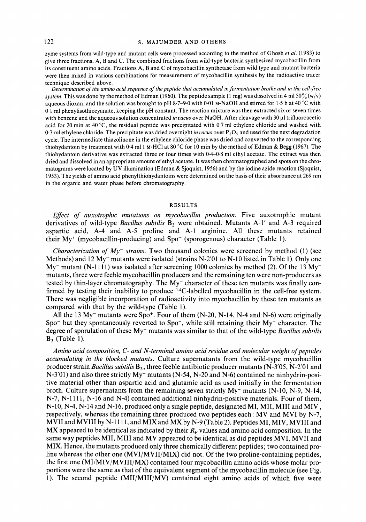#### 122 **S. MAJUMDER AND OTHERS**

zyme systems from wild-type and mutant cells were processed according to the method of Ghosh et al. (1983) to give three fractions, A, B and C. The combined fractions from wild-type bacteria synthesized mycobacillin from its constituent amino acids. Fractions A, B and C of mycobacillin synthetase from wild type and mutant bacteria were then mixed in various combinations for measurement of mycobacillin synthesis by the radioactive tracer technique described above.

*Determination of the amino acid sequence of the peptide that accumulated in fermentation broths and in the cell-free system.* This was done by the method of Edman (1960). The peptide sample (1 mg) was dissolved in **4** ml 50% (w/v) aqueous dioxan, and the solution was brought to pH 8.7-9.0 with 0.01 M-NaOH and stirred for 1.5 h at **40** "C with 0.1 ml phenylisothiocyanate, keeping the pH constant. The reaction mixture was then extracted six or seven times with benzene and the aqueous solution concentrated *in vacuo* over NaOH. After cleavage with 30 µl trifluoroacetic acid for **20** min at **40** "C, the residual peptide was precipitated with 0.7 ml ethylene chloride and washed with 0.7 ml ethylene chloride. The precipitate was dried overnight *in uacuo* over **P,05** and used for the next degradation cycle. The intermediate thiazolinone in the ethylene chloride phase was dried and converted to the corresponding thiohydantoin by treatment with 0.4 ml 1 M-HCl at 80 °C for 10 min by the method of Edman & Begg (1967). The thiohydantoin derivative was extracted three or four times with **0.4-0.8** ml ethyl acetate. The extract was then dried and dissolved in an appropriate amount of ethyl acetate. It was then chromatographed and spots on the chromatograms were located by **UV** illumination (Edman & Sjoquist, 1956) and by the iodine azide reaction (Sjoquist, 1953). The yields of amino acid phenylthiohydantoins were determined on the basis **of** their absorbance at 269 nm in the organic and water phase before chromatography.

#### **RESULTS**

*Eflect of auxotrophic mutations on mycobacillin production.* Five auxotrophic mutant derivatives of wild-type *Bacillus subtilis* B3 were obtained. Mutants A-1' and A-3 required aspartic acid, A-4 and A-5 proline and A-1 arginine. All these mutants retained their  $My<sup>+</sup>$  (mycobacillin-producing) and  $Spo<sup>+</sup>$  (sporogenous) character (Table 1).

*Characterization of My<sup>-</sup> strains.* Two thousand colonies were screened by method (1) (see Methods) and 12 My<sup>-</sup> mutants were isolated (strains N-2'01 to N-10 listed in Table 1). Only one  $My$ <sup>-</sup> mutant (N-1111) was isolated after screening 1000 colonies by method (2). Of the 13 My<sup>-</sup> mutants, three were feeble mycobacillin producers and the remaining ten were non-producers as tested by thin-layer chromatography. The  $My^-$  character of these ten mutants was finally confirmed by testing their inability to produce  $14$ C-labelled mycobacillin in the cell-free system. There was negligible incorporation of radioactivity into mycobacillin by these ten mutants as compared with that by the wild-type (Table 1).

All the 13 My<sup>-</sup> mutants were Spo<sup>+</sup>. Four of them  $(N-20, N-14, N-4$  and N-6) were originally Spo- but they spontaneously reverted to Spo+, while still retaining their My- character. The degree of sporulation of these My- mutants was similar to that of the wild-type *Bacillus subtilis*   $B_3$  (Table 1).

*Amino acid composition, C- and N-terminal amino acid residue and molecular weight* of *peptides accumulating in the blocked mutants.* Culture supernatants from the wild-type mycobacillin producer strain *Bacillus subtilis*  $B_3$ , three feeble antibiotic producer mutants (N-3'05, N-2'01 and N-3'01) and also three strictly My<sup>-</sup> mutants (N-54, N-20 and N-6) contained no ninhydrin-positive material other than aspartic acid and glutamic acid as used initially in the ferrnentation broth. Culture supernatants from the remaining seven strictly  $My^-$  mutants  $(N-10, N-9, N-14,$ N-7, N-1111, N-16 and N-4) contained additional ninhydrin-positive materials. Four of them, N-10, N-4, N-14 and N-16, produced only a single peptide, designated MI, MII, MI11 amd MIV , respectively, whereas the remaining three produced two peptides each: MV and MVI by N-7, MVII and MVIII by N-1111, and MIX and MX by N-9 (Table 2). Peptides MI, MIV, MVIII and MX appeared to be identical as indicated by their  $R_F$  values and amino acid composition. In the same way peptides MII, MIII and MV appeared to be identical as did peptides MVI, MVII and MIX. Hence, the mutants produced only three chemically different peptides; two contained proline whereas the other one (MVI/MVII/MIX) did not. Of the two proline-containing peptides, the first one (MI/MIV/MVIII/MX) contained four mycobacillin amino acids whose molar proportions were the same as that of the equivalent segment of the mycobacillin molecule (see Fig. 1). The second peptide (MII/MIII/MV) contained eight amino acids of which five were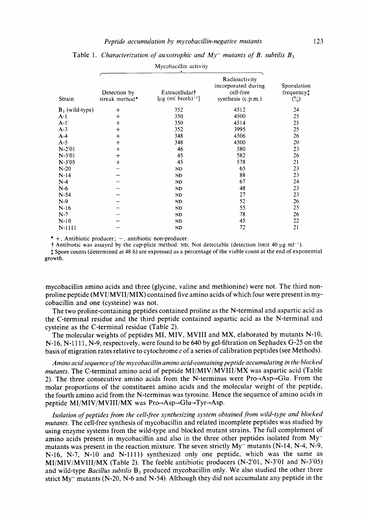#### *Peptide accumulation by mycobacillin-negative mutants*

| Strain            | Detection by<br>streak method* | Extracellular†<br>$[\mu$ g (ml broth) <sup>-1</sup> ] | Radioactivity<br>incorporated during<br>cell-free<br>synthesis (c.p.m.) | Sporulation<br>frequency <sup>†</sup><br>$\binom{0}{0}$ |  |
|-------------------|--------------------------------|-------------------------------------------------------|-------------------------------------------------------------------------|---------------------------------------------------------|--|
| $B_3$ (wild-type) | $\,+\,$                        | 352                                                   | 4512                                                                    | 24                                                      |  |
| $A-1$             | $^{+}$                         | 350                                                   | 4500                                                                    | 25                                                      |  |
| $A-1'$            | $\ddag$                        | 350                                                   | 4514                                                                    | 25                                                      |  |
| $A-3$             | $^{+}$                         | 352                                                   | 3995                                                                    | 25                                                      |  |
| $A-4$             | $^{+}$                         | 348                                                   | 4506                                                                    | 26                                                      |  |
| $A-5$             | $^{+}$                         | 348                                                   | 4500                                                                    | 20                                                      |  |
| $N-2'01$          | $^{+}$                         | 46                                                    | 580                                                                     | 23                                                      |  |
| $N-3'01$          | $^{+}$                         | 45                                                    | 582                                                                     | 26                                                      |  |
| $N-3'05$          | $^{+}$                         | 45                                                    | 578                                                                     | 21                                                      |  |
| $N-20$            |                                | $\mathbf{ND}$                                         | 65                                                                      | 23                                                      |  |
| $N-14$            |                                | ND                                                    | 88                                                                      | 23                                                      |  |
| $N-4$             |                                | ND                                                    | 67                                                                      | 24                                                      |  |
| $N-6$             |                                | ND                                                    | 48                                                                      | 23                                                      |  |
| $N-54$            |                                | ND                                                    | 27                                                                      | 23                                                      |  |
| $N-9$             |                                | ND                                                    | 52                                                                      | 26                                                      |  |
| $N-16$            |                                | ND                                                    | 55                                                                      | 25                                                      |  |
| $N-7$             |                                | ND                                                    | 78                                                                      | 26                                                      |  |
| $N-10$            |                                | ND                                                    | 45                                                                      | 22                                                      |  |
| N-1111            |                                | ND                                                    | 72                                                                      | 21                                                      |  |

| Table 1. Characterization of auxotrophic and $My^-$ mutants of B. subtilis $B_3$ |
|----------------------------------------------------------------------------------|
| Mycobacillin activity                                                            |

 $* +$ , Antibiotic producer;  $-$ , antibiotic non-producer.

 $\dagger$  Antibiotic was assayed by the cup-plate method. ND, Not detectable (detection limit 40 µg ml<sup>-1</sup>).

\$ Spore counts (determined at 48 h) are expressed as a percentage of the viable count at the end of exponential growth.

mycobacillin amino acids and three (glycine, valine and methionine) were not. The third nonproline peptide (MVI/MVII/MIX) contained five amino acids of which four were present in mycobacillin and one (cysteine) was not.

The two proline-containing peptides contained proline as the N-terminal and aspartic acid as the C-terminal residue and the third peptide contained aspartic acid as the N-terminal and cysteine as the C-terminal residue (Table 2).

The molecular weights of peptides MI, MIV, MVIII and MX, elaborated by mutants N-10, N-16, N-1111, N-9, respectively, were found to be 640 by gel-filtration on Sephadex G-25 on the basis of migration rates relative to cytochrome *c* of a series of calibration peptides (see Methods).

*Amino acid sequence of the mycobacillin amino acid-containing peptide accumulating in the blocked mutants.* The C-terminal amino acid of peptide MI/MIV/MVIII/MX was aspartic acid (Table 2). The three consecutive amino acids from the N-terminus were  $Pro \rightarrow Asp \rightarrow Glu$ . From the molar proportions of the constituent amino acids and the molecular weight of the peptide, the fourth amino acid from the N-terminus was tyrosine. Hence the sequence of amino acids in peptide MI/MIV/MVIII/MX was Pro $\rightarrow$ Asp $\rightarrow$ Glu $\rightarrow$ Tyr $\rightarrow$ Asp.

*Isolation of peptides from the cell-free synthesizing system obtained from wild-type and blocked mutants.* The cell-free synthesis of mycobacillin and related incomplete peptides was studied by using enzyme systems from the wild-type and blocked mutant strains. The full complement of amino acids present in mycobacillin and also in the three other peptides isolated from Mymutants was present in the reaction mixture. The seven strictly My- mutants (N-14, N-4, N-9, N-16, N-7, N-10 and N-1111) synthesized only one peptide, which was the same as MI/MIV/MVIII/MX (Table 2). The feeble antibiotic producers (N-2'01, N-3'01 and N-3'05) and wild-type *Bacillus subtilis*  $B_3$  produced mycobacillin only. We also studied the other three strict My- mutants (N-20, N-6 and N-54). Although they did not accumulate any peptide in the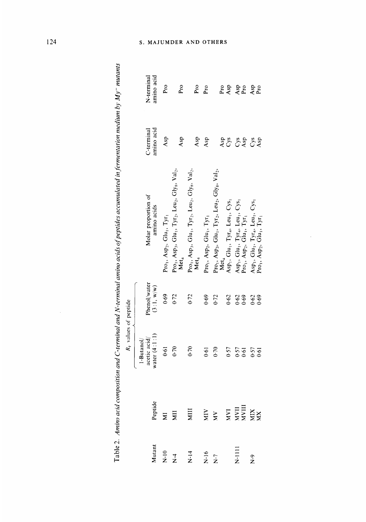|                                                                  | $Rf$ values of peptide                         |                            |                                                                                                                                                                           |                        |                                          |
|------------------------------------------------------------------|------------------------------------------------|----------------------------|---------------------------------------------------------------------------------------------------------------------------------------------------------------------------|------------------------|------------------------------------------|
|                                                                  | water $(4:1:1)$<br>acetic acid/<br>$1-Butanol$ | Phenol/water<br>(3:1, w/w) | Molar proportion of<br>amino acids                                                                                                                                        | mino acid<br>-terminal | unino acid<br>N-terminal                 |
|                                                                  | 0.61                                           | 0.69                       | Pro <sub>1</sub> , Asp <sub>2</sub> , Glu <sub>1</sub> , Tyr <sub>1</sub>                                                                                                 | Asp                    | Pro                                      |
|                                                                  | 0.70                                           | 0.72                       | Pro <sub>1</sub> , Asp <sub>3</sub> , Glu <sub>1</sub> , Tyr <sub>2</sub> , Leu <sub>2</sub> , Gly <sub>8</sub> , Val <sub>2</sub> ,<br>Met <sub>4</sub>                  | Asp                    | Pro                                      |
|                                                                  | 0.70                                           | $0 - 72$                   | Pro <sub>1</sub> , Asp <sub>3</sub> , Glu <sub>1</sub> , Tyr <sub>2</sub> , Leu <sub>2</sub> , Gly <sub>8</sub> , Val <sub>2</sub> ,<br>Met <sub>4</sub>                  | Asp                    | $Pr_{O}$                                 |
|                                                                  | 0.61                                           | 0.69                       | Pro <sub>1</sub> , Asp <sub>2</sub> , Glu <sub>1</sub> , Tyr <sub>1</sub>                                                                                                 | Asp                    | $P_{10}$                                 |
|                                                                  | 0.70                                           | 0.72                       | $\Pr$ o <sub>1</sub> , Asp <sub>3</sub> , Glu <sub>1</sub> , Tyr <sub>2</sub> , Leu <sub>2</sub> , Gly <sub>8</sub> , Val <sub>2</sub> ,<br>${\sf Met}_4$ $\ldots$        |                        |                                          |
|                                                                  | 0.57                                           | 0.62                       | Asp <sub>1</sub> , Glu <sub>1</sub> , Tyr <sub>4</sub> , Leu <sub>1</sub> , Cys <sub>1</sub>                                                                              | Asp<br>Cys             |                                          |
|                                                                  | 0.57                                           | 0.62                       | Asp <sub>1</sub> , Glu <sub>1</sub> , Tyr <sub>4</sub> , Leu <sub>1</sub> , Cys <sub>1</sub><br>Pro <sub>1</sub> , Asp <sub>2</sub> , Glu <sub>1</sub> , Tyr <sub>1</sub> |                        |                                          |
| Peptide<br>MI<br>MI MI MY MY THING MAN<br>MAN MANII<br>MAN MANII | 0.57<br>$-61$                                  | $0.62$<br>0.69             | $Asp_1, Glu_1, Tyr_4, Len_1, Cys_1, Pro_1, Asp_2, Glu_1, Tyr_1$                                                                                                           | 52 52                  | February<br>1952<br>2019<br>2019<br>2019 |

ł,

Table 2. Amino acid composition and C-terminal and N-terminal amino acids of peptides accumulated in fermentation medium by My<sup>-</sup> mutants Table *2. Amino acid composition and C-terminal and N-terminal amino acids ojpeptides accumulated in-fermentation medium by My- mutants* 

# UMDER AND OTHERS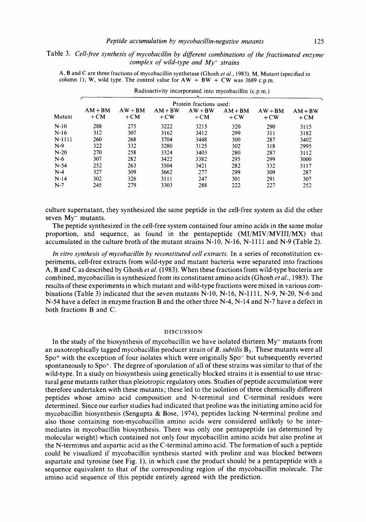## Table 3. *Cell-free synthesis of mycobacillin by diferent combinations of the fractionated enzyme complex of wild-type and My- strains*

A, B and C are three fractions of mycobacillin synthetase (Ghosh et *al.,* 1983). M, Mutant (specified in column 1); W, wild type. The control value for  $AW + BW + CW$  was 3689 c.p.m.

|        | Protein fractions used: |                    |                    |                    |                    |                    |                    |
|--------|-------------------------|--------------------|--------------------|--------------------|--------------------|--------------------|--------------------|
| Mutant | $AM + BM$<br>$+CM$      | $AW + BM$<br>$+CM$ | $AM + BW$<br>$+CW$ | $AW + BW$<br>$+CM$ | $AM + BM$<br>$+CW$ | $AW + BM$<br>$+CW$ | $AM + BW$<br>$+CM$ |
| $N-10$ | 288                     | 275                | 3222               | 3215               | 320                | 290                | 3115               |
| N-16   | 312                     | 307                | 3162               | 3412               | 299                | 311                | 3182               |
| N-1111 | 260                     | 268                | 3704               | 3448               | 300                | 287                | 3402               |
| N-9    | 322                     | 332                | 3280               | 3125               | 302                | 318                | 2995               |
| $N-20$ | 270                     | 258                | 3324               | 3403               | 280                | 287                | 3112               |
| N-6    | 307                     | 282                | 3422               | 3382               | 295                | 299                | 3000               |
| $N-54$ | 252                     | 263                | 3504               | 3421               | 282                | 332                | 3117               |
| $N-4$  | 327                     | 309                | 3662               | 277                | 299                | 309                | 287                |
| $N-14$ | 302                     | 326                | 3111               | 247                | 301                | 291                | 307                |
| $N-7$  | 245                     | 279                | 3303               | 288                | 222                | 227                | 252                |
|        |                         |                    |                    |                    |                    |                    |                    |

Radioactivity incorporated into mycobacillin (c.p.m.)

culture supernatant, they synthesized the same peptide in the cell-free system as did the other seven  $Mv^-$  mutants.

The peptide synthesized in the cell-free system contained four amino acids in the same molar proportion, and sequence, as found in the pentapeptide (MI/MIV/MVIII/MX) that accumulated in the culture broth of the mutant strains  $N-10$ ,  $N-16$ ,  $N-1111$  and  $N-9$  (Table 2).

*In vitro synthesis of mycobacillin by reconstituted cell extracts.* In a series of reconstitution experiments, cell-free extracts from wild-type and mutant bacteria were separated into fractions **A,** B and C as described by Ghosh *et al.* (1983). When these fractions from wild-type bacteria are combined, mycobacillin is synthesized from its constituent amino acids (Ghosh *etal.,* 1983). The results of these experiments in which mutant and wild-type fractions were mixed in various combinations (Table 3) indicated that the seven mutants  $N-10$ ,  $N-16$ ,  $N-1111$ ,  $N-9$ ,  $N-20$ ,  $N-6$  and N-54 have a defect in enzyme fraction B and the other three N-4, N-14 and N-7 have a defect in both fractions B and C.

#### **DISCUSSION**

In the study of the biosynthesis of mycobacillin we have isolated thirteen  $My<sub>-</sub>$  mutants from an auxotrophically tagged mycobacillin producer strain of  $B$ . *subtilis*  $B_3$ . These mutants were all Spo+ with the exception of four isolates which were originally Spo- but subsequently reverted spontaneously to  $Spo<sup>+</sup>$ . The degree of sporulation of all of these strains was similar to that of the wild-type. In a study on biosynthesis using genetically blocked strains it is essential to use structural gene mutants rather than pleiotropic regulatory ones. Studies of peptide accumulation were therefore undertaken with these mutants; these led to the isolation of three chemically different peptides whose amino acid composition and N-terminal and C-terminal residues were determined. Since our earlier studies had indicated that proline was the initiating amino acid for mycobacillin biosynthesis (Sengupta & Bose, 1974), peptides lacking N-terminal proline and also those containing non-mycobacillin amino acids were considered unlikely to be intermediates in mycobacillin biosynthesis. There was only one pentapeptide (as determined by molecular weight) which contained not only four mycobacillin amino acids but also proline at the N-terminus and aspartic acid as the C-terminal amino acid. The formation of such a peptide could be visualized if mycobacillin synthesis started with proline and was blocked between aspartate and tyrosine (see Fig. l), in which case the product should be a pentapeptide with a sequence equivalent to that of the corresponding region of the mycobacillin molecule. The amino acid sequence of this peptide entirely agreed with the prediction.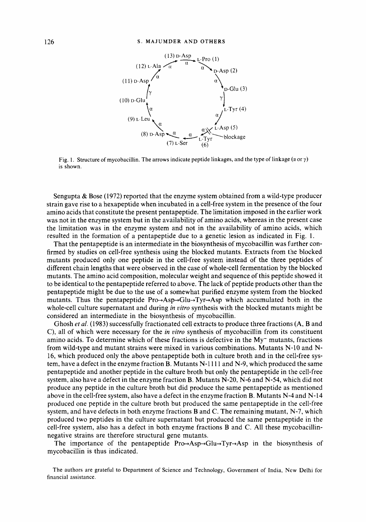

Fig. 1. Structure of mycobacillin. The arrows indicate peptide linkages, and the type of linkage *(a* or y) is shown.

Sengupta & Bose (1972) reported that the enzyme system obtained from a wild-type producer strain gave rise to a hexapeptide when incubated in a cell-free system in the presence of the four amino acids that constitute the present pentapeptide. The limitation imposed in the earlier work was not in the enzyme system but in the availability of amino acids, whereas in the present case the limitation was in the enzyme system and not in the availability of amino acids, which resulted in the formation of a pentapeptide due to a genetic lesion as indicated in Fig. 1.

That the pentapeptide is an intermediate in the biosynthesis of mycobacillin was further confirmed by studies on cell-free synthesis using the blocked mutants. Extracts from the blocked mutants produced only one peptide in the cell-free system instead of the three peptides of different chain lengths that were observed in the case of whole-cell fermentation by the blocked mutants. The amino acid composition, molecular weight and sequence of this peptide showed it to be identical to the pentapeptide referred to above. The lack of peptide products other than the pentapeptide might be due to the use of a somewhat purified enzyme system from the blocked mutants. Thus the pentapeptide  $Pro\rightarrow Asp\rightarrow Glu\rightarrow Tvr\rightarrow Asp$  which accumulated both in the whole-cell culture supernatant and during *in vitro* synthesis with the blocked mutants might be considered an intermediate in the biosynthesis of mycobacillin.

Ghosh *et al.* (1983) successfully fractionated cell extracts to produce three fractions (A, B and *C),* all of which were necessary for the *in vitro* synthesis of mycobacillin from its constituent amino acids. To determine which of these fractions is defective in the  $My-$  mutants, fractions from wild-type and mutant strains were mixed in various combinations. Mutants N-10 and N-16, which produced only the above pentapeptide both in culture broth and in the cell-free system, have a defect in the enzyme fraction B. Mutants N-1111 and N-9, which produced the same pentapeptide and another peptide in the culture broth but only the pentapeptide in the cell-free system, also have a defect in the enzyme fraction B. Mutants N-20, N-6 and N-54, which did not produce any peptide in the culture broth but did produce the same pentapeptide as mentioned above in the cell-free system, also have a defect in the enzyme fraction B. Mutants **N-4** and N-14 produced one peptide in the culture broth but produced the same pentapeptide in the cell-free system, and have defects in both enzyme fractions  $B$  and  $C$ . The remaining mutant,  $N-7$ , which produced two peptides in the culture supernatant but produced the same pentapeptide in the cell-free system, also has a defect in both enzyme fractions B and C. All these mycobacillinnegative strains are therefore structural gene mutants.

The importance of the pentapeptide  $Pro\rightarrow Asp\rightarrow Glu+Tyr\rightarrow Asp$  in the biosynthesis of mycobacillin is thus indicated.

The authors are grateful to Department of Science and Technology, Government of India, New Delhi for financial assistance.